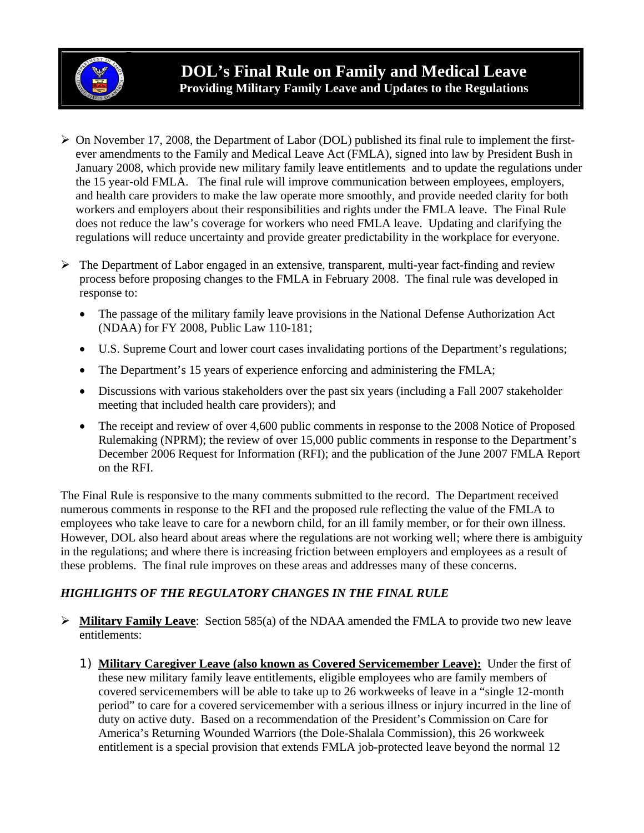

- $\triangleright$  On November 17, 2008, the Department of Labor (DOL) published its final rule to implement the firstever amendments to the Family and Medical Leave Act (FMLA), signed into law by President Bush in January 2008, which provide new military family leave entitlements and to update the regulations under the 15 year-old FMLA. The final rule will improve communication between employees, employers, and health care providers to make the law operate more smoothly, and provide needed clarity for both workers and employers about their responsibilities and rights under the FMLA leave. The Final Rule does not reduce the law's coverage for workers who need FMLA leave. Updating and clarifying the regulations will reduce uncertainty and provide greater predictability in the workplace for everyone.
- $\triangleright$  The Department of Labor engaged in an extensive, transparent, multi-year fact-finding and review process before proposing changes to the FMLA in February 2008. The final rule was developed in response to:
	- The passage of the military family leave provisions in the National Defense Authorization Act (NDAA) for FY 2008, Public Law 110-181;
	- U.S. Supreme Court and lower court cases invalidating portions of the Department's regulations;
	- The Department's 15 years of experience enforcing and administering the FMLA;
	- Discussions with various stakeholders over the past six years (including a Fall 2007 stakeholder meeting that included health care providers); and
	- The receipt and review of over 4,600 public comments in response to the 2008 Notice of Proposed Rulemaking (NPRM); the review of over 15,000 public comments in response to the Department's December 2006 Request for Information (RFI); and the publication of the June 2007 FMLA Report on the RFI.

The Final Rule is responsive to the many comments submitted to the record. The Department received numerous comments in response to the RFI and the proposed rule reflecting the value of the FMLA to employees who take leave to care for a newborn child, for an ill family member, or for their own illness. However, DOL also heard about areas where the regulations are not working well; where there is ambiguity in the regulations; and where there is increasing friction between employers and employees as a result of these problems. The final rule improves on these areas and addresses many of these concerns.

## *HIGHLIGHTS OF THE REGULATORY CHANGES IN THE FINAL RULE*

- ¾ **Military Family Leave**: Section 585(a) of the NDAA amended the FMLA to provide two new leave entitlements:
	- 1) **Military Caregiver Leave (also known as Covered Servicemember Leave):** Under the first of these new military family leave entitlements, eligible employees who are family members of covered servicemembers will be able to take up to 26 workweeks of leave in a "single 12-month period" to care for a covered servicemember with a serious illness or injury incurred in the line of duty on active duty. Based on a recommendation of the President's Commission on Care for America's Returning Wounded Warriors (the Dole-Shalala Commission), this 26 workweek entitlement is a special provision that extends FMLA job-protected leave beyond the normal 12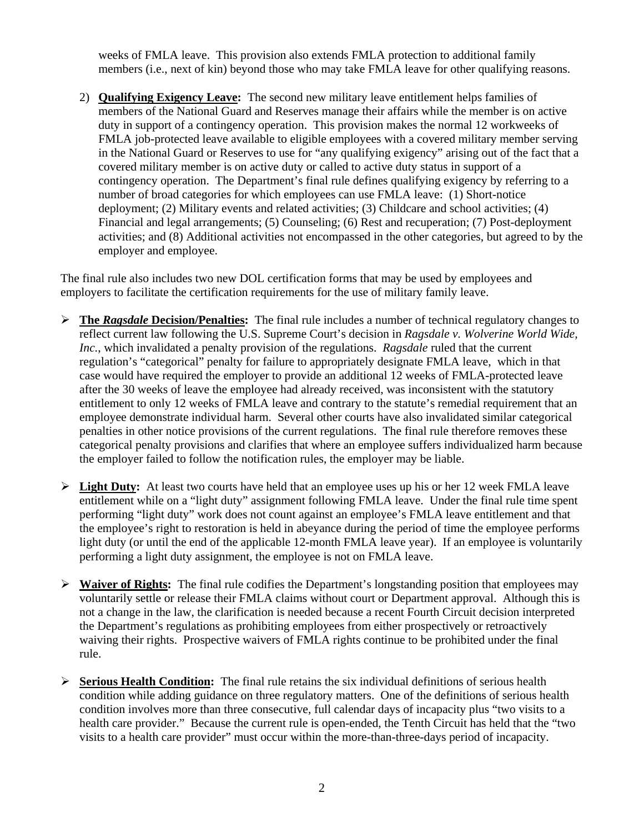weeks of FMLA leave. This provision also extends FMLA protection to additional family members (i.e., next of kin) beyond those who may take FMLA leave for other qualifying reasons.

2) **Qualifying Exigency Leave:** The second new military leave entitlement helps families of members of the National Guard and Reserves manage their affairs while the member is on active duty in support of a contingency operation. This provision makes the normal 12 workweeks of FMLA job-protected leave available to eligible employees with a covered military member serving in the National Guard or Reserves to use for "any qualifying exigency" arising out of the fact that a covered military member is on active duty or called to active duty status in support of a contingency operation. The Department's final rule defines qualifying exigency by referring to a number of broad categories for which employees can use FMLA leave: (1) Short-notice deployment; (2) Military events and related activities; (3) Childcare and school activities; (4) Financial and legal arrangements; (5) Counseling; (6) Rest and recuperation; (7) Post-deployment activities; and (8) Additional activities not encompassed in the other categories, but agreed to by the employer and employee.

The final rule also includes two new DOL certification forms that may be used by employees and employers to facilitate the certification requirements for the use of military family leave.

- ¾ **The** *Ragsdale* **Decision/Penalties:** The final rule includes a number of technical regulatory changes to reflect current law following the U.S. Supreme Court's decision in *Ragsdale v. Wolverine World Wide, Inc.*, which invalidated a penalty provision of the regulations. *Ragsdale* ruled that the current regulation's "categorical" penalty for failure to appropriately designate FMLA leave, which in that case would have required the employer to provide an additional 12 weeks of FMLA-protected leave after the 30 weeks of leave the employee had already received, was inconsistent with the statutory entitlement to only 12 weeks of FMLA leave and contrary to the statute's remedial requirement that an employee demonstrate individual harm. Several other courts have also invalidated similar categorical penalties in other notice provisions of the current regulations. The final rule therefore removes these categorical penalty provisions and clarifies that where an employee suffers individualized harm because the employer failed to follow the notification rules, the employer may be liable.
- ¾ **Light Duty:** At least two courts have held that an employee uses up his or her 12 week FMLA leave entitlement while on a "light duty" assignment following FMLA leave. Under the final rule time spent performing "light duty" work does not count against an employee's FMLA leave entitlement and that the employee's right to restoration is held in abeyance during the period of time the employee performs light duty (or until the end of the applicable 12-month FMLA leave year). If an employee is voluntarily performing a light duty assignment, the employee is not on FMLA leave.
- ¾ **Waiver of Rights:** The final rule codifies the Department's longstanding position that employees may voluntarily settle or release their FMLA claims without court or Department approval. Although this is not a change in the law, the clarification is needed because a recent Fourth Circuit decision interpreted the Department's regulations as prohibiting employees from either prospectively or retroactively waiving their rights. Prospective waivers of FMLA rights continue to be prohibited under the final rule.
- ¾ **Serious Health Condition:** The final rule retains the six individual definitions of serious health condition while adding guidance on three regulatory matters. One of the definitions of serious health condition involves more than three consecutive, full calendar days of incapacity plus "two visits to a health care provider." Because the current rule is open-ended, the Tenth Circuit has held that the "two visits to a health care provider" must occur within the more-than-three-days period of incapacity.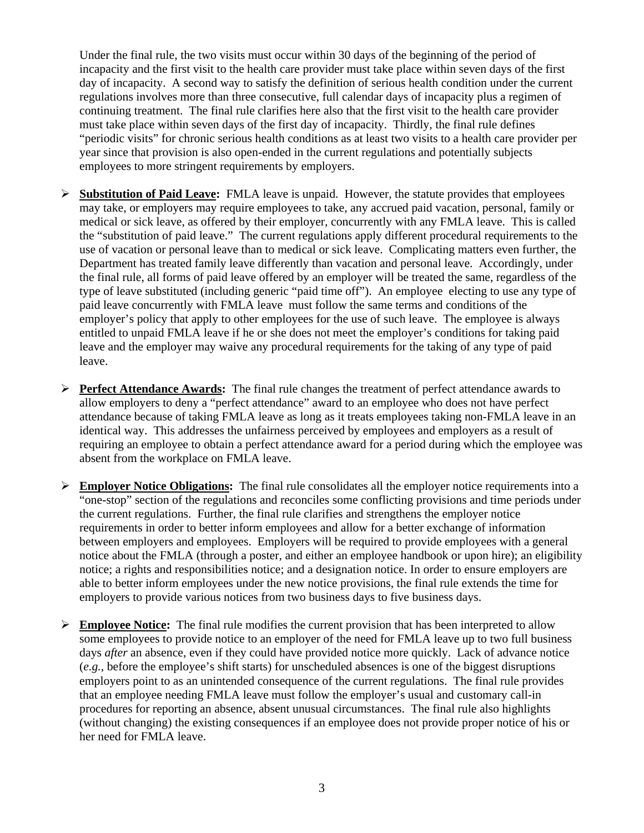Under the final rule, the two visits must occur within 30 days of the beginning of the period of incapacity and the first visit to the health care provider must take place within seven days of the first day of incapacity. A second way to satisfy the definition of serious health condition under the current regulations involves more than three consecutive, full calendar days of incapacity plus a regimen of continuing treatment. The final rule clarifies here also that the first visit to the health care provider must take place within seven days of the first day of incapacity. Thirdly, the final rule defines "periodic visits" for chronic serious health conditions as at least two visits to a health care provider per year since that provision is also open-ended in the current regulations and potentially subjects employees to more stringent requirements by employers.

- ¾ **Substitution of Paid Leave:** FMLA leave is unpaid. However, the statute provides that employees may take, or employers may require employees to take, any accrued paid vacation, personal, family or medical or sick leave, as offered by their employer, concurrently with any FMLA leave. This is called the "substitution of paid leave." The current regulations apply different procedural requirements to the use of vacation or personal leave than to medical or sick leave. Complicating matters even further, the Department has treated family leave differently than vacation and personal leave. Accordingly, under the final rule, all forms of paid leave offered by an employer will be treated the same, regardless of the type of leave substituted (including generic "paid time off"). An employee electing to use any type of paid leave concurrently with FMLA leave must follow the same terms and conditions of the employer's policy that apply to other employees for the use of such leave. The employee is always entitled to unpaid FMLA leave if he or she does not meet the employer's conditions for taking paid leave and the employer may waive any procedural requirements for the taking of any type of paid leave.
- ¾ **Perfect Attendance Awards:** The final rule changes the treatment of perfect attendance awards to allow employers to deny a "perfect attendance" award to an employee who does not have perfect attendance because of taking FMLA leave as long as it treats employees taking non-FMLA leave in an identical way. This addresses the unfairness perceived by employees and employers as a result of requiring an employee to obtain a perfect attendance award for a period during which the employee was absent from the workplace on FMLA leave.
- ¾ **Employer Notice Obligations:** The final rule consolidates all the employer notice requirements into a "one-stop" section of the regulations and reconciles some conflicting provisions and time periods under the current regulations. Further, the final rule clarifies and strengthens the employer notice requirements in order to better inform employees and allow for a better exchange of information between employers and employees. Employers will be required to provide employees with a general notice about the FMLA (through a poster, and either an employee handbook or upon hire); an eligibility notice; a rights and responsibilities notice; and a designation notice. In order to ensure employers are able to better inform employees under the new notice provisions, the final rule extends the time for employers to provide various notices from two business days to five business days.
- ¾ **Employee Notice:** The final rule modifies the current provision that has been interpreted to allow some employees to provide notice to an employer of the need for FMLA leave up to two full business days *after* an absence, even if they could have provided notice more quickly. Lack of advance notice (*e.g.*, before the employee's shift starts) for unscheduled absences is one of the biggest disruptions employers point to as an unintended consequence of the current regulations. The final rule provides that an employee needing FMLA leave must follow the employer's usual and customary call-in procedures for reporting an absence, absent unusual circumstances. The final rule also highlights (without changing) the existing consequences if an employee does not provide proper notice of his or her need for FMLA leave.